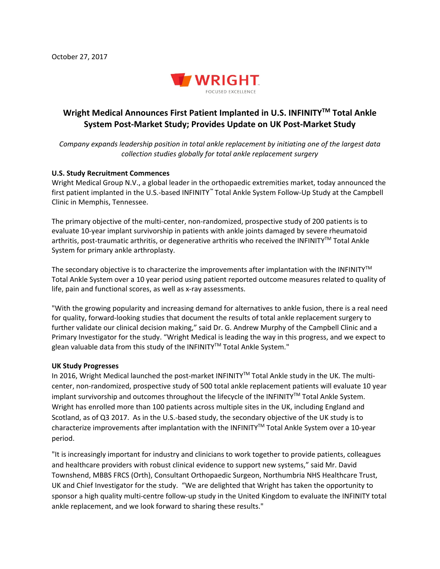

## **Wright Medical Announces First Patient Implanted in U.S. INFINITYTM Total Ankle System Post-Market Study; Provides Update on UK Post-Market Study**

*Company expands leadership position in total ankle replacement by initiating one of the largest data collection studies globally for total ankle replacement surgery* 

## **U.S. Study Recruitment Commences**

Wright Medical Group N.V., a global leader in the orthopaedic extremities market, today announced the first patient implanted in the U.S.-based INFINITY*™* Total Ankle System Follow-Up Study at the Campbell Clinic in Memphis, Tennessee.

The primary objective of the multi-center, non-randomized, prospective study of 200 patients is to evaluate 10-year implant survivorship in patients with ankle joints damaged by severe rheumatoid arthritis, post-traumatic arthritis, or degenerative arthritis who received the INFINITY™ Total Ankle System for primary ankle arthroplasty.

The secondary objective is to characterize the improvements after implantation with the INFINITY<sup>TM</sup> Total Ankle System over a 10 year period using patient reported outcome measures related to quality of life, pain and functional scores, as well as x-ray assessments.

"With the growing popularity and increasing demand for alternatives to ankle fusion, there is a real need for quality, forward-looking studies that document the results of total ankle replacement surgery to further validate our clinical decision making," said Dr. G. Andrew Murphy of the Campbell Clinic and a Primary Investigator for the study. "Wright Medical is leading the way in this progress, and we expect to glean valuable data from this study of the INFINITY™ Total Ankle System."

## **UK Study Progresses**

In 2016, Wright Medical launched the post-market INFINITY™ Total Ankle study in the UK. The multicenter, non-randomized, prospective study of 500 total ankle replacement patients will evaluate 10 year implant survivorship and outcomes throughout the lifecycle of the INFINITY™ Total Ankle System. Wright has enrolled more than 100 patients across multiple sites in the UK, including England and Scotland, as of Q3 2017. As in the U.S.-based study, the secondary objective of the UK study is to characterize improvements after implantation with the INFINITY™ Total Ankle System over a 10-year period.

"It is increasingly important for industry and clinicians to work together to provide patients, colleagues and healthcare providers with robust clinical evidence to support new systems," said Mr. David Townshend, MBBS FRCS (Orth), Consultant Orthopaedic Surgeon, Northumbria NHS Healthcare Trust, UK and Chief Investigator for the study. "We are delighted that Wright has taken the opportunity to sponsor a high quality multi-centre follow-up study in the United Kingdom to evaluate the INFINITY total ankle replacement, and we look forward to sharing these results."